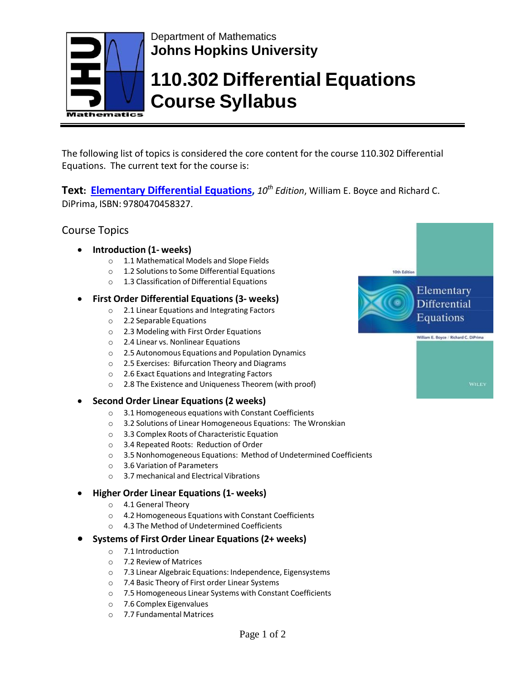

## Department of Mathematics **Johns Hopkins University**

# **110.302 Differential Equations Course Syllabus**

The following list of topics is considered the core content for the course 110.302 Differential Equations. The current text for the course is:

**Text: [Elementary Differential](http://www.stewartcalculus.com/media/8_home.php) Equations,** *10th Edition*, William E. Boyce and Richard C. DiPrima, ISBN: 9780470458327.

## Course Topics

- **Introduction (1- weeks)**
	- o 1.1 Mathematical Models and Slope Fields
	- o 1.2 Solutionsto Some Differential Equations
	- o 1.3 Classification of Differential Equations

## • **First Order Differential Equations (3- weeks)**

- o 2.1 Linear Equations and Integrating Factors
- o 2.2 Separable Equations
- o 2.3 Modeling with First Order Equations
- o 2.4 Linear vs. Nonlinear Equations
- o 2.5 Autonomous Equations and Population Dynamics
- o 2.5 Exercises: Bifurcation Theory and Diagrams
- o 2.6 Exact Equations and Integrating Factors
- o 2.8 The Existence and Uniqueness Theorem (with proof)
- **Second Order Linear Equations (2 weeks)**
	- o 3.1 Homogeneous equations with Constant Coefficients
	- o 3.2 Solutions of Linear Homogeneous Equations: The Wronskian
	- o 3.3 Complex Roots of Characteristic Equation
	- o 3.4 Repeated Roots: Reduction of Order
	- o 3.5 Nonhomogeneous Equations: Method of Undetermined Coefficients
	- o 3.6 Variation of Parameters
	- o 3.7 mechanical and Electrical Vibrations

## • **Higher Order Linear Equations (1- weeks)**

- o 4.1 General Theory
- o 4.2 Homogeneous Equations with Constant Coefficients
- o 4.3 The Method of Undetermined Coefficients

### • **Systems of First Order Linear Equations (2+ weeks)**

- o 7.1 Introduction
- o 7.2 Review of Matrices
- o 7.3 Linear Algebraic Equations: Independence, Eigensystems
- o 7.4 Basic Theory of First order Linear Systems
- o 7.5 Homogeneous Linear Systems with Constant Coefficients
- o 7.6 Complex Eigenvalues
- o 7.7 Fundamental Matrices



Page 1 of 2